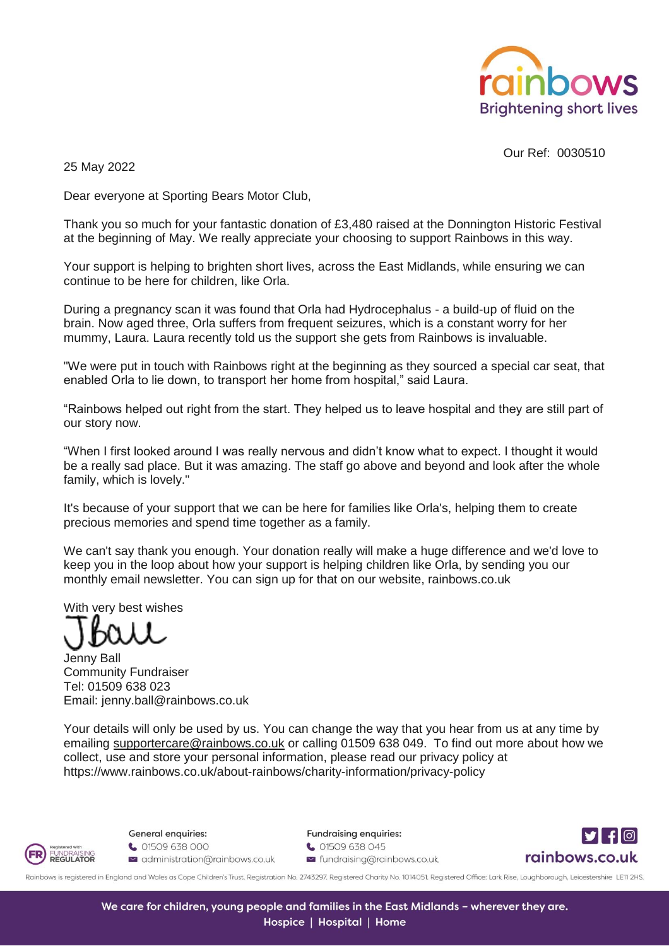

Our Ref: 0030510

25 May 2022

Dear everyone at Sporting Bears Motor Club,

Thank you so much for your fantastic donation of £3,480 raised at the Donnington Historic Festival at the beginning of May. We really appreciate your choosing to support Rainbows in this way.

Your support is helping to brighten short lives, across the East Midlands, while ensuring we can continue to be here for children, like Orla.

During a pregnancy scan it was found that Orla had Hydrocephalus - a build-up of fluid on the brain. Now aged three, Orla suffers from frequent seizures, which is a constant worry for her mummy, Laura. Laura recently told us the support she gets from Rainbows is invaluable.

"We were put in touch with Rainbows right at the beginning as they sourced a special car seat, that enabled Orla to lie down, to transport her home from hospital," said Laura.

"Rainbows helped out right from the start. They helped us to leave hospital and they are still part of our story now.

"When I first looked around I was really nervous and didn't know what to expect. I thought it would be a really sad place. But it was amazing. The staff go above and beyond and look after the whole family, which is lovely."

It's because of your support that we can be here for families like Orla's, helping them to create precious memories and spend time together as a family.

We can't say thank you enough. Your donation really will make a huge difference and we'd love to keep you in the loop about how your support is helping children like Orla, by sending you our monthly email newsletter. You can sign up for that on our website, rainbows.co.uk

With very best wishes

Jenny Ball Community Fundraiser Tel: 01509 638 023 Email: jenny.ball@rainbows.co.uk

Your details will only be used by us. You can change the way that you hear from us at any time by emailing [supportercare@rainbows.co.uk](mailto:supportercare@rainbows.co.uk) or calling 01509 638 049. To find out more about how we collect, use and store your personal information, please read our privacy policy at https://www.rainbows.co.uk/about-rainbows/charity-information/privacy-policy



General enquiries:

↓ 01509 638 000  $\leq$  administration@rainbows.co.uk Fundraising enquiries: ↓ 01509 638 045  $\leq$  fundraising@rainbows.co.uk



Rainbows is registered in England and Wales as Cope Children's Trust. Registration No. 2743297. Registered Charity No. 1014051. Registered Office: Lark Rise, Loughborough, Leicestershire LE11 2HS.

We care for children, young people and families in the East Midlands - wherever they are. Hospice | Hospital | Home